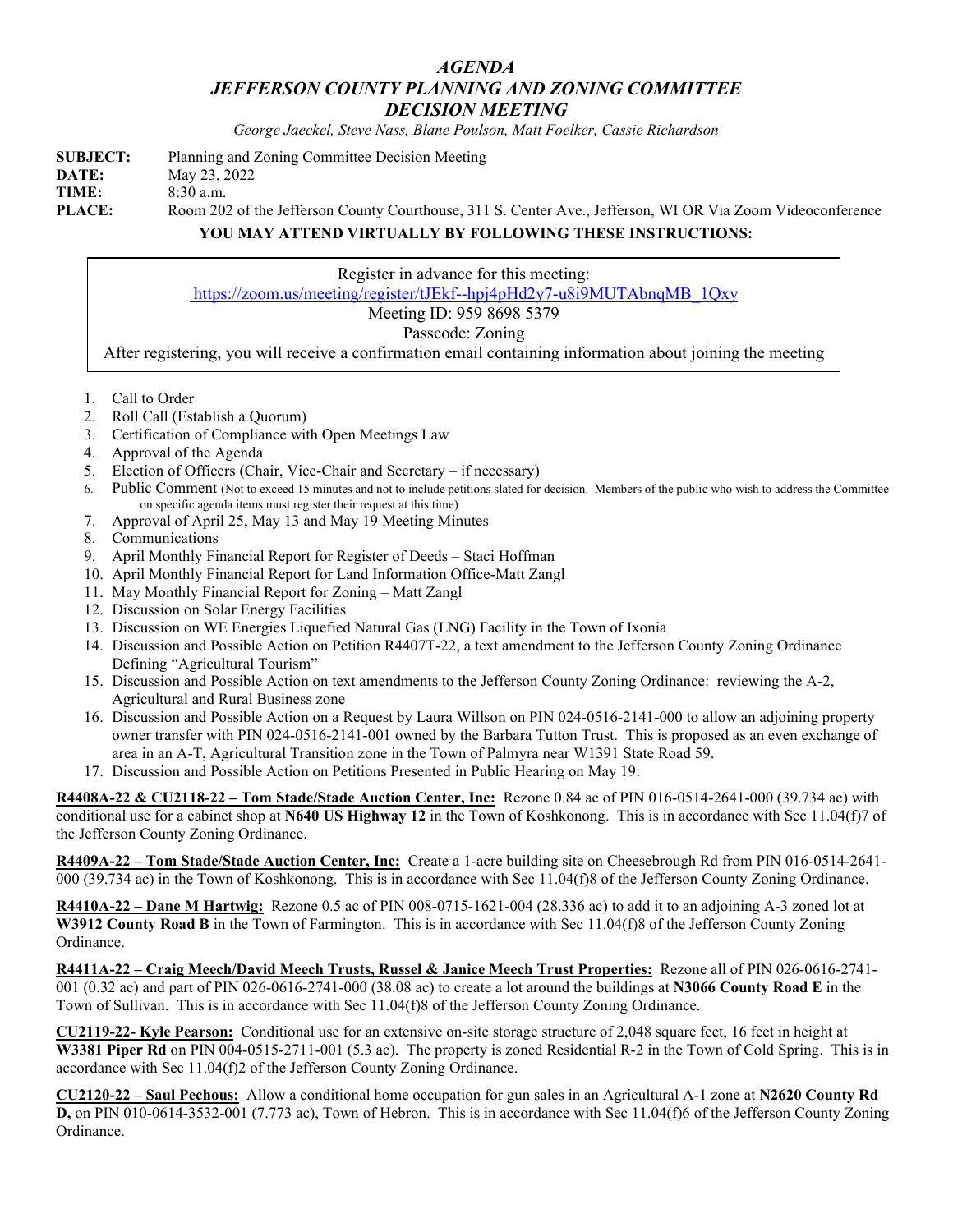## *AGENDA JEFFERSON COUNTY PLANNING AND ZONING COMMITTEE DECISION MEETING*

*George Jaeckel, Steve Nass, Blane Poulson, Matt Foelker, Cassie Richardson*

| <b>SUBJECT:</b> | Planning and Zoning Committee Decision Meeting                                                             |
|-----------------|------------------------------------------------------------------------------------------------------------|
| DATE:           | May 23, 2022                                                                                               |
| TIME:           | $8:30$ a.m.                                                                                                |
| PLACE:          | Room 202 of the Jefferson County Courthouse, 311 S. Center Ave., Jefferson, WI OR Via Zoom Videoconference |
|                 | YOU MAY ATTEND VIRTUALLY BY FOLLOWING THESE INSTRUCTIONS:                                                  |

Register in advance for this meeting: [https://zoom.us/meeting/register/tJEkf--hpj4pHd2y7-u8i9MUTAbnqMB\\_1Qxy](https://zoom.us/meeting/register/tJEkf--hpj4pHd2y7-u8i9MUTAbnqMB_1Qxy)

## Meeting ID: 959 8698 5379

## Passcode: Zoning

After registering, you will receive a confirmation email containing information about joining the meeting

- 1. Call to Order
- 2. Roll Call (Establish a Quorum)
- 3. Certification of Compliance with Open Meetings Law
- 4. Approval of the Agenda
- 5. Election of Officers (Chair, Vice-Chair and Secretary if necessary)
- 6. Public Comment (Not to exceed 15 minutes and not to include petitions slated for decision. Members of the public who wish to address the Committee on specific agenda items must register their request at this time)
- 7. Approval of April 25, May 13 and May 19 Meeting Minutes
- 8. Communications
- 9. April Monthly Financial Report for Register of Deeds Staci Hoffman
- 10. April Monthly Financial Report for Land Information Office-Matt Zangl
- 11. May Monthly Financial Report for Zoning Matt Zangl
- 12. Discussion on Solar Energy Facilities
- 13. Discussion on WE Energies Liquefied Natural Gas (LNG) Facility in the Town of Ixonia
- 14. Discussion and Possible Action on Petition R4407T-22, a text amendment to the Jefferson County Zoning Ordinance Defining "Agricultural Tourism"
- 15. Discussion and Possible Action on text amendments to the Jefferson County Zoning Ordinance: reviewing the A-2, Agricultural and Rural Business zone
- 16. Discussion and Possible Action on a Request by Laura Willson on PIN 024-0516-2141-000 to allow an adjoining property owner transfer with PIN 024-0516-2141-001 owned by the Barbara Tutton Trust. This is proposed as an even exchange of area in an A-T, Agricultural Transition zone in the Town of Palmyra near W1391 State Road 59.
- 17. Discussion and Possible Action on Petitions Presented in Public Hearing on May 19:

**R4408A-22 & CU2118-22 – Tom Stade/Stade Auction Center, Inc:** Rezone 0.84 ac of PIN 016-0514-2641-000 (39.734 ac) with conditional use for a cabinet shop at **N640 US Highway 12** in the Town of Koshkonong. This is in accordance with Sec 11.04(f)7 of the Jefferson County Zoning Ordinance.

**R4409A-22 – Tom Stade/Stade Auction Center, Inc:** Create a 1-acre building site on Cheesebrough Rd from PIN 016-0514-2641- 000 (39.734 ac) in the Town of Koshkonong. This is in accordance with Sec 11.04(f)8 of the Jefferson County Zoning Ordinance.

**R4410A-22 – Dane M Hartwig:** Rezone 0.5 ac of PIN 008-0715-1621-004 (28.336 ac) to add it to an adjoining A-3 zoned lot at W3912 County Road B in the Town of Farmington. This is in accordance with Sec 11.04(f)8 of the Jefferson County Zoning Ordinance.

**R4411A-22 – Craig Meech/David Meech Trusts, Russel & Janice Meech Trust Properties:** Rezone all of PIN 026-0616-2741- 001 (0.32 ac) and part of PIN 026-0616-2741-000 (38.08 ac) to create a lot around the buildings at **N3066 County Road E** in the Town of Sullivan. This is in accordance with Sec 11.04(f)8 of the Jefferson County Zoning Ordinance.

**CU2119-22- Kyle Pearson:** Conditional use for an extensive on-site storage structure of 2,048 square feet, 16 feet in height at **W3381 Piper Rd** on PIN 004-0515-2711-001 (5.3 ac). The property is zoned Residential R-2 in the Town of Cold Spring. This is in accordance with Sec 11.04(f)2 of the Jefferson County Zoning Ordinance.

**CU2120-22 – Saul Pechous:** Allow a conditional home occupation for gun sales in an Agricultural A-1 zone at **N2620 County Rd D,** on PIN 010-0614-3532-001 (7.773 ac), Town of Hebron. This is in accordance with Sec 11.04(f)6 of the Jefferson County Zoning Ordinance.